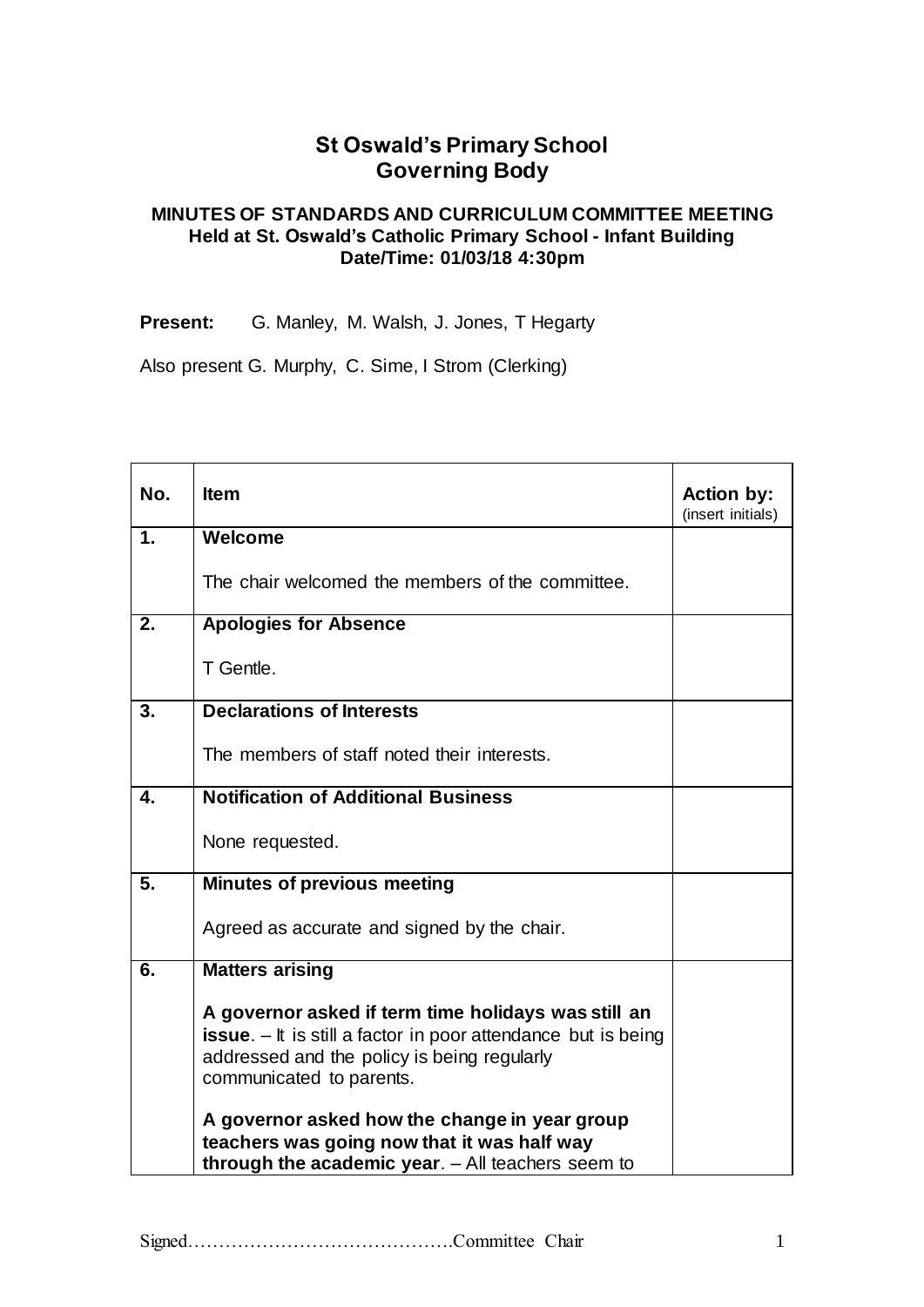# **St Oswald's Primary School Governing Body**

### **MINUTES OF STANDARDS AND CURRICULUM COMMITTEE MEETING Held at St. Oswald's Catholic Primary School - Infant Building Date/Time: 01/03/18 4:30pm**

**Present:** G. Manley, M. Walsh, J. Jones, T Hegarty

Also present G. Murphy, C. Sime, I Strom (Clerking)

| No. | <b>Item</b>                                                                                                                                                                                                                                               | <b>Action by:</b><br>(insert initials) |
|-----|-----------------------------------------------------------------------------------------------------------------------------------------------------------------------------------------------------------------------------------------------------------|----------------------------------------|
| 1.  | Welcome                                                                                                                                                                                                                                                   |                                        |
|     | The chair welcomed the members of the committee.                                                                                                                                                                                                          |                                        |
| 2.  | <b>Apologies for Absence</b>                                                                                                                                                                                                                              |                                        |
|     | T Gentle.                                                                                                                                                                                                                                                 |                                        |
| 3.  | <b>Declarations of Interests</b>                                                                                                                                                                                                                          |                                        |
|     | The members of staff noted their interests.                                                                                                                                                                                                               |                                        |
| 4.  | <b>Notification of Additional Business</b>                                                                                                                                                                                                                |                                        |
|     | None requested.                                                                                                                                                                                                                                           |                                        |
| 5.  | <b>Minutes of previous meeting</b>                                                                                                                                                                                                                        |                                        |
|     | Agreed as accurate and signed by the chair.                                                                                                                                                                                                               |                                        |
| 6.  | <b>Matters arising</b>                                                                                                                                                                                                                                    |                                        |
|     | A governor asked if term time holidays was still an<br><b>issue.</b> $-$ It is still a factor in poor attendance but is being<br>addressed and the policy is being regularly<br>communicated to parents.<br>A governor asked how the change in year group |                                        |
|     | teachers was going now that it was half way<br>through the academic year. - All teachers seem to                                                                                                                                                          |                                        |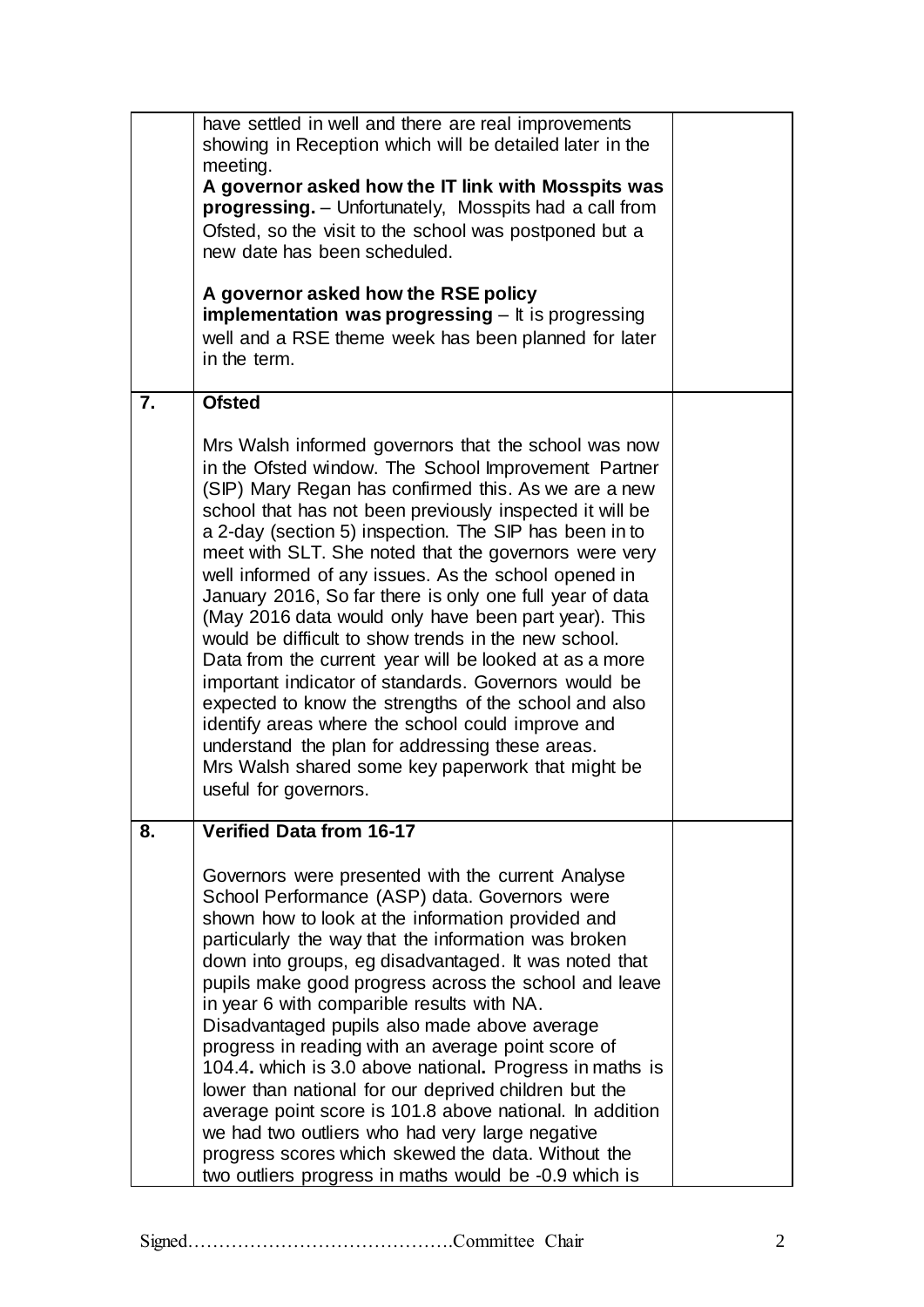|    | have settled in well and there are real improvements<br>showing in Reception which will be detailed later in the<br>meeting.<br>A governor asked how the IT link with Mosspits was<br><b>progressing.</b> - Unfortunately, Mosspits had a call from<br>Ofsted, so the visit to the school was postponed but a<br>new date has been scheduled.<br>A governor asked how the RSE policy<br><b>implementation was progressing</b> $-$ It is progressing<br>well and a RSE theme week has been planned for later<br>in the term.                                                                                                                                                                                                                                                                                                                                                                                                                              |  |
|----|----------------------------------------------------------------------------------------------------------------------------------------------------------------------------------------------------------------------------------------------------------------------------------------------------------------------------------------------------------------------------------------------------------------------------------------------------------------------------------------------------------------------------------------------------------------------------------------------------------------------------------------------------------------------------------------------------------------------------------------------------------------------------------------------------------------------------------------------------------------------------------------------------------------------------------------------------------|--|
| 7. | <b>Ofsted</b>                                                                                                                                                                                                                                                                                                                                                                                                                                                                                                                                                                                                                                                                                                                                                                                                                                                                                                                                            |  |
|    | Mrs Walsh informed governors that the school was now<br>in the Ofsted window. The School Improvement Partner<br>(SIP) Mary Regan has confirmed this. As we are a new<br>school that has not been previously inspected it will be<br>a 2-day (section 5) inspection. The SIP has been in to<br>meet with SLT. She noted that the governors were very<br>well informed of any issues. As the school opened in<br>January 2016, So far there is only one full year of data<br>(May 2016 data would only have been part year). This<br>would be difficult to show trends in the new school.<br>Data from the current year will be looked at as a more<br>important indicator of standards. Governors would be<br>expected to know the strengths of the school and also<br>identify areas where the school could improve and<br>understand the plan for addressing these areas.<br>Mrs Walsh shared some key paperwork that might be<br>useful for governors. |  |
| 8. | <b>Verified Data from 16-17</b>                                                                                                                                                                                                                                                                                                                                                                                                                                                                                                                                                                                                                                                                                                                                                                                                                                                                                                                          |  |
|    | Governors were presented with the current Analyse<br>School Performance (ASP) data. Governors were<br>shown how to look at the information provided and<br>particularly the way that the information was broken<br>down into groups, eg disadvantaged. It was noted that<br>pupils make good progress across the school and leave<br>in year 6 with comparible results with NA.<br>Disadvantaged pupils also made above average<br>progress in reading with an average point score of<br>104.4. which is 3.0 above national. Progress in maths is<br>lower than national for our deprived children but the<br>average point score is 101.8 above national. In addition<br>we had two outliers who had very large negative<br>progress scores which skewed the data. Without the<br>two outliers progress in maths would be -0.9 which is                                                                                                                 |  |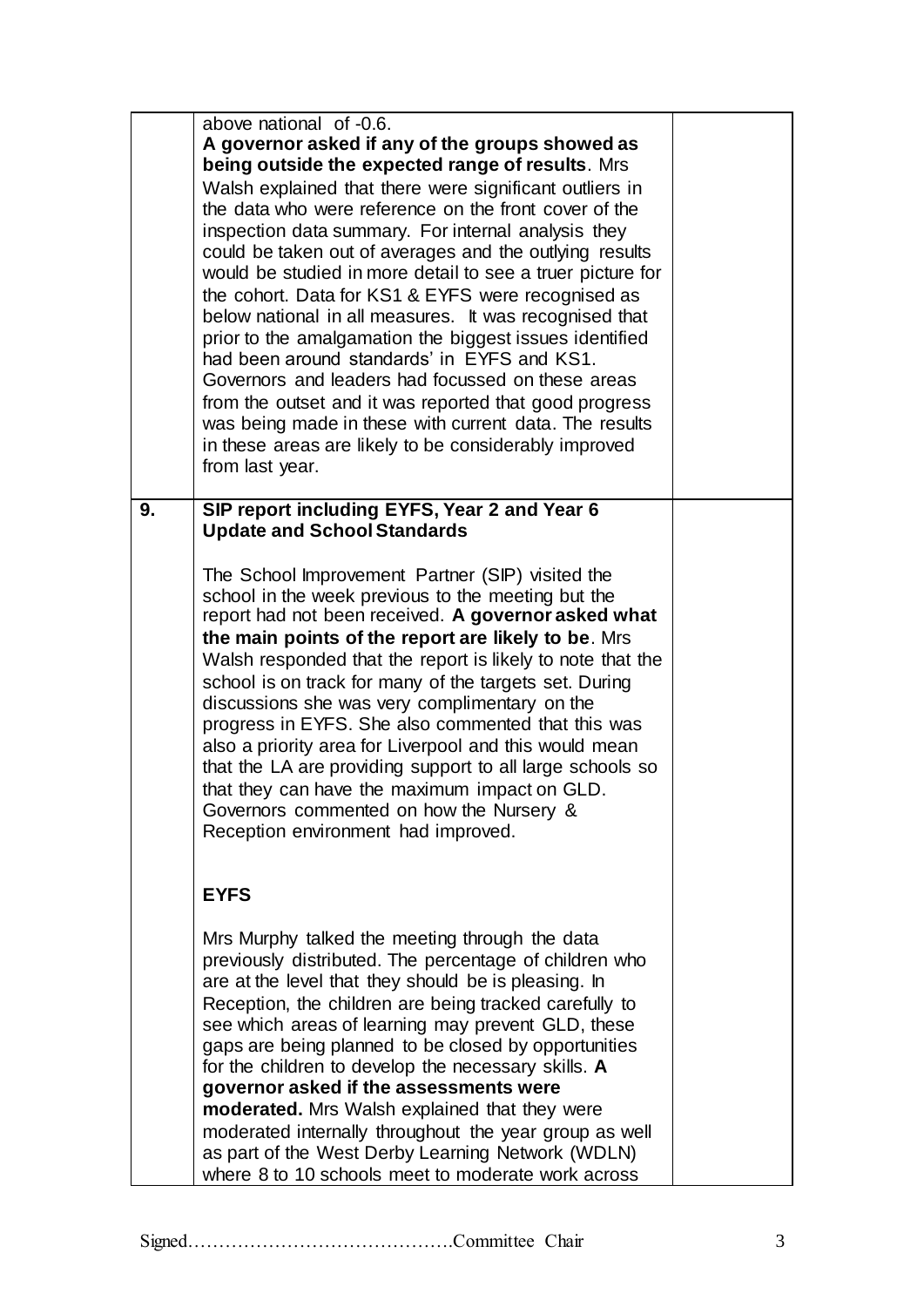|    | above national of -0.6.<br>A governor asked if any of the groups showed as<br>being outside the expected range of results. Mrs<br>Walsh explained that there were significant outliers in<br>the data who were reference on the front cover of the<br>inspection data summary. For internal analysis they<br>could be taken out of averages and the outlying results<br>would be studied in more detail to see a truer picture for<br>the cohort. Data for KS1 & EYFS were recognised as<br>below national in all measures. It was recognised that<br>prior to the amalgamation the biggest issues identified<br>had been around standards' in EYFS and KS1.<br>Governors and leaders had focussed on these areas<br>from the outset and it was reported that good progress<br>was being made in these with current data. The results<br>in these areas are likely to be considerably improved<br>from last year. |  |
|----|-------------------------------------------------------------------------------------------------------------------------------------------------------------------------------------------------------------------------------------------------------------------------------------------------------------------------------------------------------------------------------------------------------------------------------------------------------------------------------------------------------------------------------------------------------------------------------------------------------------------------------------------------------------------------------------------------------------------------------------------------------------------------------------------------------------------------------------------------------------------------------------------------------------------|--|
| 9. | SIP report including EYFS, Year 2 and Year 6<br><b>Update and School Standards</b><br>The School Improvement Partner (SIP) visited the<br>school in the week previous to the meeting but the<br>report had not been received. A governor asked what<br>the main points of the report are likely to be. Mrs<br>Walsh responded that the report is likely to note that the<br>school is on track for many of the targets set. During<br>discussions she was very complimentary on the<br>progress in EYFS. She also commented that this was<br>also a priority area for Liverpool and this would mean<br>that the LA are providing support to all large schools so<br>that they can have the maximum impact on GLD.<br>Governors commented on how the Nursery &<br>Reception environment had improved.                                                                                                              |  |
|    | <b>EYFS</b><br>Mrs Murphy talked the meeting through the data<br>previously distributed. The percentage of children who<br>are at the level that they should be is pleasing. In<br>Reception, the children are being tracked carefully to<br>see which areas of learning may prevent GLD, these<br>gaps are being planned to be closed by opportunities<br>for the children to develop the necessary skills. A<br>governor asked if the assessments were<br>moderated. Mrs Walsh explained that they were                                                                                                                                                                                                                                                                                                                                                                                                         |  |
|    | moderated internally throughout the year group as well<br>as part of the West Derby Learning Network (WDLN)<br>where 8 to 10 schools meet to moderate work across                                                                                                                                                                                                                                                                                                                                                                                                                                                                                                                                                                                                                                                                                                                                                 |  |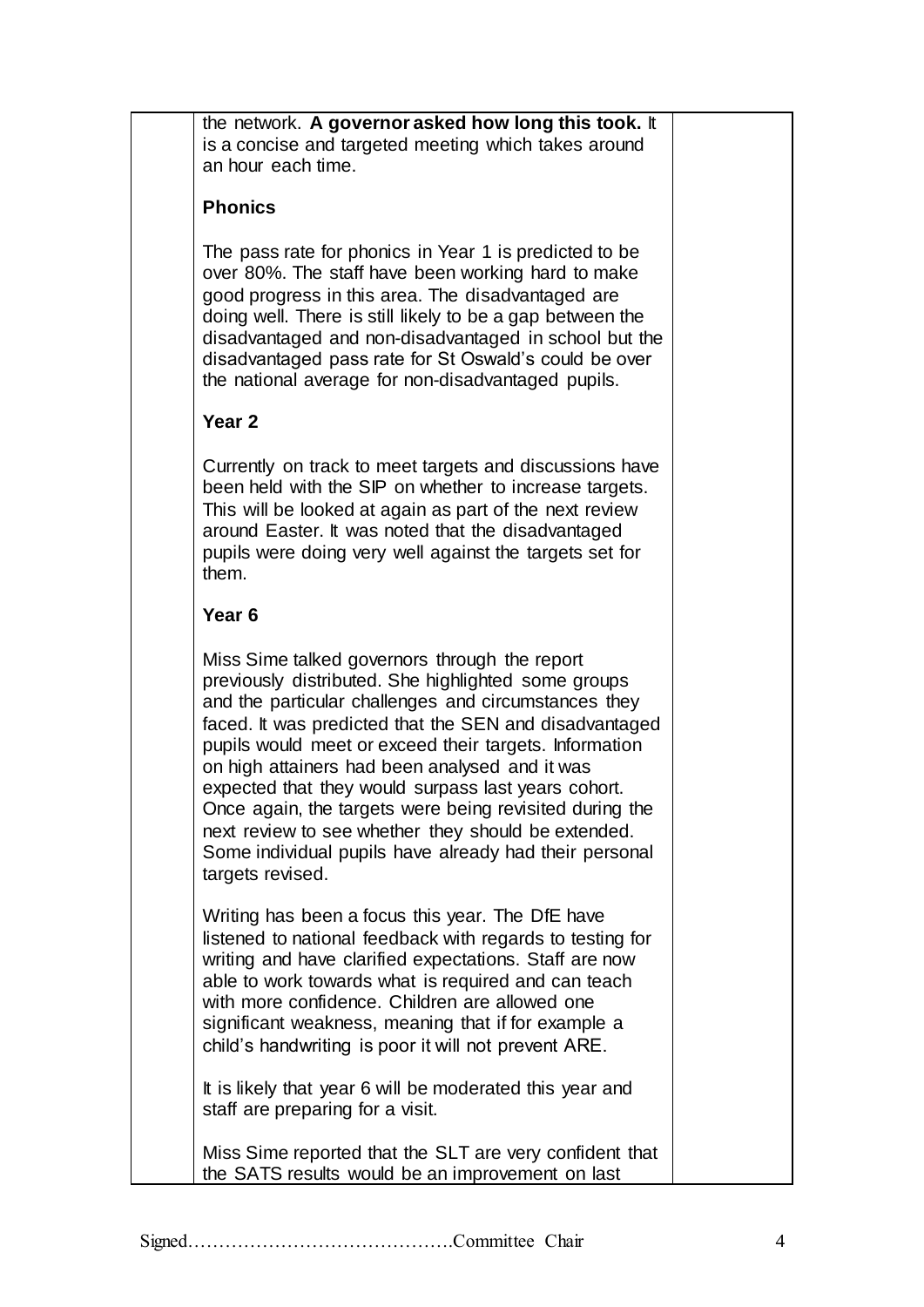| the network. A governor asked how long this took. It |
|------------------------------------------------------|
| is a concise and targeted meeting which takes around |
| an hour each time.                                   |

### **Phonics**

The pass rate for phonics in Year 1 is predicted to be over 80%. The staff have been working hard to make good progress in this area. The disadvantaged are doing well. There is still likely to be a gap between the disadvantaged and non-disadvantaged in school but the disadvantaged pass rate for St Oswald's could be over the national average for non-disadvantaged pupils.

## **Year 2**

Currently on track to meet targets and discussions have been held with the SIP on whether to increase targets. This will be looked at again as part of the next review around Easter. It was noted that the disadvantaged pupils were doing very well against the targets set for them.

## **Year 6**

Miss Sime talked governors through the report previously distributed. She highlighted some groups and the particular challenges and circumstances they faced. It was predicted that the SEN and disadvantaged pupils would meet or exceed their targets. Information on high attainers had been analysed and it was expected that they would surpass last years cohort. Once again, the targets were being revisited during the next review to see whether they should be extended. Some individual pupils have already had their personal targets revised.

Writing has been a focus this year. The DfE have listened to national feedback with regards to testing for writing and have clarified expectations. Staff are now able to work towards what is required and can teach with more confidence. Children are allowed one significant weakness, meaning that if for example a child's handwriting is poor it will not prevent ARE.

It is likely that year 6 will be moderated this year and staff are preparing for a visit.

Miss Sime reported that the SLT are very confident that the SATS results would be an improvement on last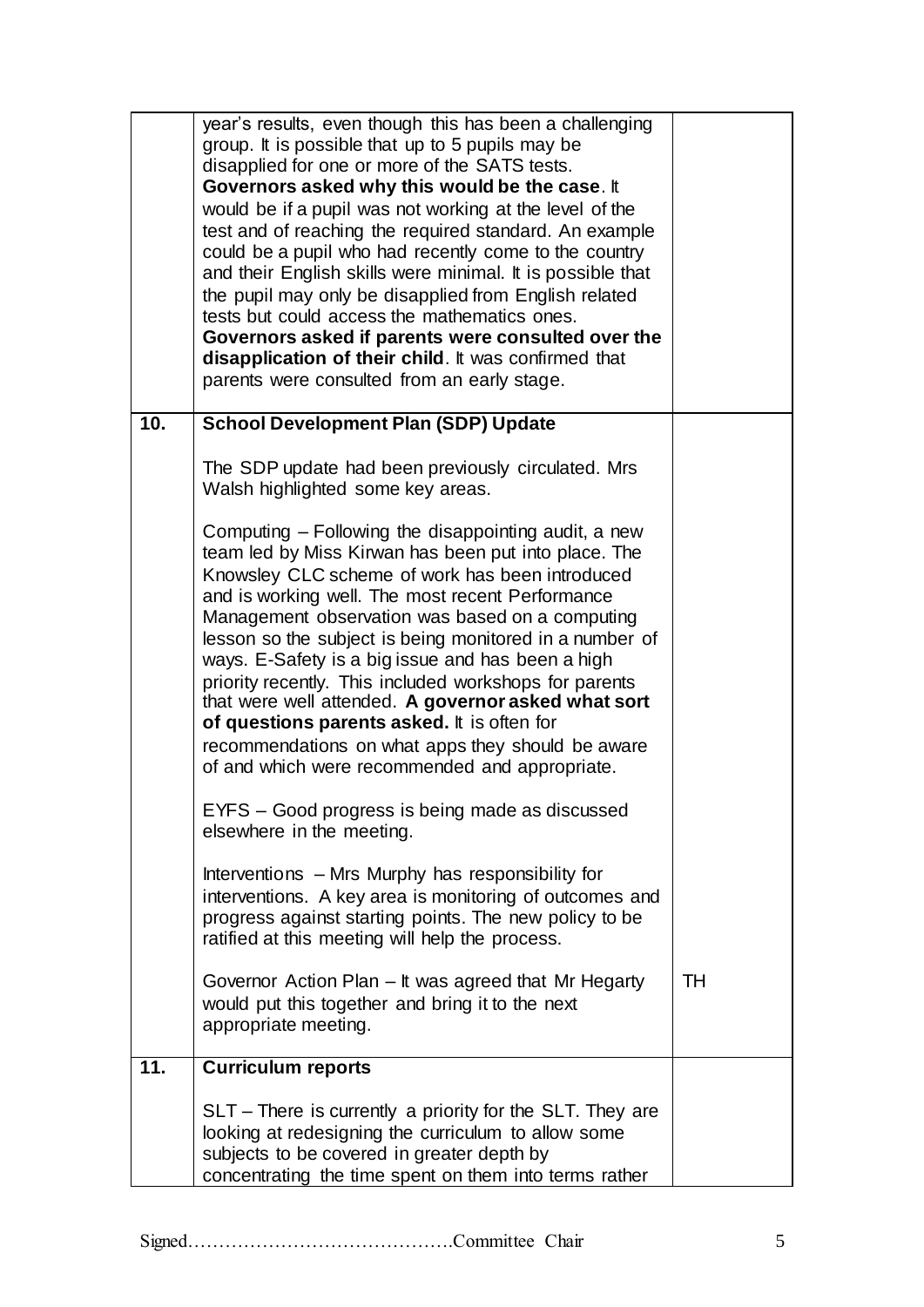|     | SLT – There is currently a priority for the SLT. They are<br>looking at redesigning the curriculum to allow some<br>subjects to be covered in greater depth by<br>concentrating the time spent on them into terms rather                                                                                                                                                                                                                                                                                                                                                                                                                                                                                                         |    |
|-----|----------------------------------------------------------------------------------------------------------------------------------------------------------------------------------------------------------------------------------------------------------------------------------------------------------------------------------------------------------------------------------------------------------------------------------------------------------------------------------------------------------------------------------------------------------------------------------------------------------------------------------------------------------------------------------------------------------------------------------|----|
| 11. | <b>Curriculum reports</b>                                                                                                                                                                                                                                                                                                                                                                                                                                                                                                                                                                                                                                                                                                        |    |
|     | Governor Action Plan – It was agreed that Mr Hegarty<br>would put this together and bring it to the next<br>appropriate meeting.                                                                                                                                                                                                                                                                                                                                                                                                                                                                                                                                                                                                 | TH |
|     | Interventions – Mrs Murphy has responsibility for<br>interventions. A key area is monitoring of outcomes and<br>progress against starting points. The new policy to be<br>ratified at this meeting will help the process.                                                                                                                                                                                                                                                                                                                                                                                                                                                                                                        |    |
|     | EYFS - Good progress is being made as discussed<br>elsewhere in the meeting.                                                                                                                                                                                                                                                                                                                                                                                                                                                                                                                                                                                                                                                     |    |
|     | Walsh highlighted some key areas.<br>Computing – Following the disappointing audit, a new<br>team led by Miss Kirwan has been put into place. The<br>Knowsley CLC scheme of work has been introduced<br>and is working well. The most recent Performance<br>Management observation was based on a computing<br>lesson so the subject is being monitored in a number of<br>ways. E-Safety is a big issue and has been a high<br>priority recently. This included workshops for parents<br>that were well attended. A governor asked what sort<br>of questions parents asked. It is often for<br>recommendations on what apps they should be aware<br>of and which were recommended and appropriate.                               |    |
| 10. | <b>School Development Plan (SDP) Update</b><br>The SDP update had been previously circulated. Mrs                                                                                                                                                                                                                                                                                                                                                                                                                                                                                                                                                                                                                                |    |
|     | year's results, even though this has been a challenging<br>group. It is possible that up to 5 pupils may be<br>disapplied for one or more of the SATS tests.<br>Governors asked why this would be the case. It<br>would be if a pupil was not working at the level of the<br>test and of reaching the required standard. An example<br>could be a pupil who had recently come to the country<br>and their English skills were minimal. It is possible that<br>the pupil may only be disapplied from English related<br>tests but could access the mathematics ones.<br>Governors asked if parents were consulted over the<br>disapplication of their child. It was confirmed that<br>parents were consulted from an early stage. |    |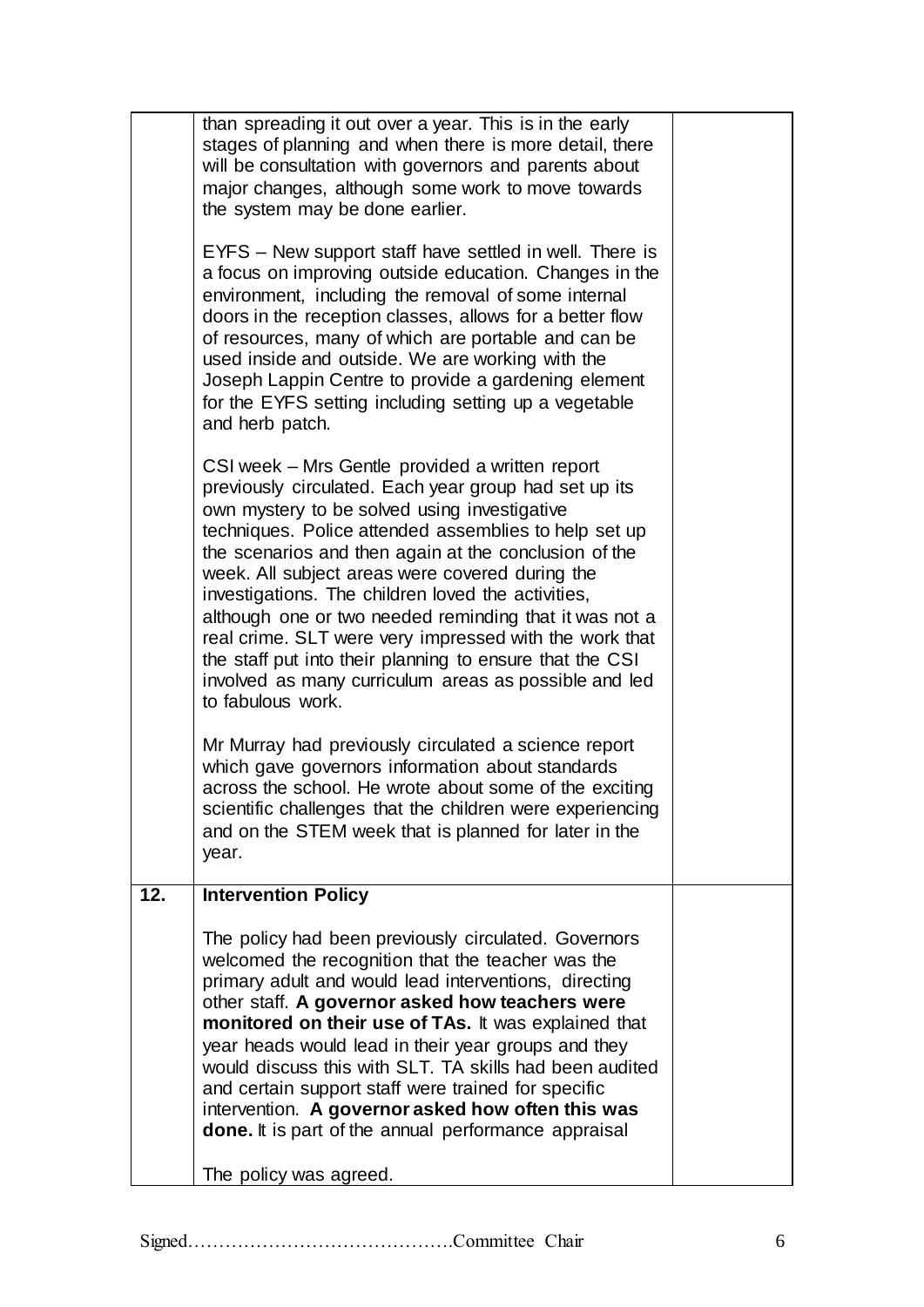|     | stages of planning and when there is more detail, there<br>will be consultation with governors and parents about                                                                                                                                                                                                                                                                                                                                                                                                                                                                                                                                  |  |
|-----|---------------------------------------------------------------------------------------------------------------------------------------------------------------------------------------------------------------------------------------------------------------------------------------------------------------------------------------------------------------------------------------------------------------------------------------------------------------------------------------------------------------------------------------------------------------------------------------------------------------------------------------------------|--|
|     | major changes, although some work to move towards<br>the system may be done earlier.                                                                                                                                                                                                                                                                                                                                                                                                                                                                                                                                                              |  |
|     | EYFS – New support staff have settled in well. There is<br>a focus on improving outside education. Changes in the<br>environment, including the removal of some internal<br>doors in the reception classes, allows for a better flow<br>of resources, many of which are portable and can be<br>used inside and outside. We are working with the<br>Joseph Lappin Centre to provide a gardening element<br>for the EYFS setting including setting up a vegetable<br>and herb patch.                                                                                                                                                                |  |
|     | CSI week – Mrs Gentle provided a written report<br>previously circulated. Each year group had set up its<br>own mystery to be solved using investigative<br>techniques. Police attended assemblies to help set up<br>the scenarios and then again at the conclusion of the<br>week. All subject areas were covered during the<br>investigations. The children loved the activities,<br>although one or two needed reminding that it was not a<br>real crime. SLT were very impressed with the work that<br>the staff put into their planning to ensure that the CSI<br>involved as many curriculum areas as possible and led<br>to fabulous work. |  |
|     | Mr Murray had previously circulated a science report<br>which gave governors information about standards<br>across the school. He wrote about some of the exciting<br>scientific challenges that the children were experiencing<br>and on the STEM week that is planned for later in the<br>year.                                                                                                                                                                                                                                                                                                                                                 |  |
| 12. | <b>Intervention Policy</b>                                                                                                                                                                                                                                                                                                                                                                                                                                                                                                                                                                                                                        |  |
|     | The policy had been previously circulated. Governors<br>welcomed the recognition that the teacher was the<br>primary adult and would lead interventions, directing<br>other staff. A governor asked how teachers were<br>monitored on their use of TAs. It was explained that<br>year heads would lead in their year groups and they<br>would discuss this with SLT. TA skills had been audited<br>and certain support staff were trained for specific<br>intervention. A governor asked how often this was<br><b>done.</b> It is part of the annual performance appraisal                                                                        |  |
|     | The policy was agreed.                                                                                                                                                                                                                                                                                                                                                                                                                                                                                                                                                                                                                            |  |